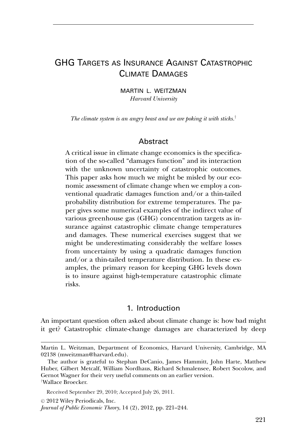# GHG TARGETS AS INSURANCE AGAINST CATASTROPHIC CLIMATE DAMAGES

MARTIN L. WEITZMAN *Harvard University*

*The climate system is an angry beast and we are poking it with sticks.*†

### Abstract

A critical issue in climate change economics is the specification of the so-called "damages function" and its interaction with the unknown uncertainty of catastrophic outcomes. This paper asks how much we might be misled by our economic assessment of climate change when we employ a conventional quadratic damages function and/or a thin-tailed probability distribution for extreme temperatures. The paper gives some numerical examples of the indirect value of various greenhouse gas (GHG) concentration targets as insurance against catastrophic climate change temperatures and damages. These numerical exercises suggest that we might be underestimating considerably the welfare losses from uncertainty by using a quadratic damages function and/or a thin-tailed temperature distribution. In these examples, the primary reason for keeping GHG levels down is to insure against high-temperature catastrophic climate risks.

### 1. Introduction

An important question often asked about climate change is: how bad might it get? Catastrophic climate-change damages are characterized by deep

Received September 29, 2010; Accepted July 26, 2011.

-<sup>C</sup> 2012 Wiley Periodicals, Inc.

Martin L. Weitzman, Department of Economics, Harvard University, Cambridge, MA 02138 (mweitzman@harvard.edu).

The author is grateful to Stephan DeCanio, James Hammitt, John Harte, Matthew Huber, Gilbert Metcalf, William Nordhaus, Richard Schmalensee, Robert Socolow, and Gernot Wagner for their very useful comments on an earlier version. † Wallace Broecker.

*Journal of Public Economic Theory*, 14 (2), 2012, pp. 221–244.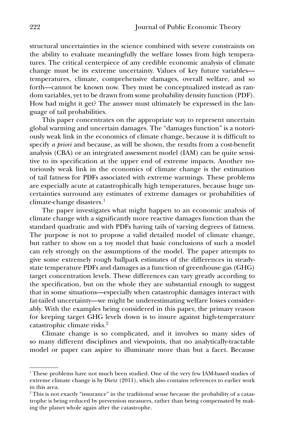structural uncertainties in the science combined with severe constraints on the ability to evaluate meaningfully the welfare losses from high temperatures. The critical centerpiece of any credible economic analysis of climate change must be its extreme uncertainty. Values of key future variables temperatures, climate, comprehensive damages, overall welfare, and so forth—cannot be known now. They must be conceptualized instead as random variables, yet to be drawn from some probability density function (PDF). How bad might it get? The answer must ultimately be expressed in the language of tail probabilities.

This paper concentrates on the appropriate way to represent uncertain global warming and uncertain damages. The "damages function" is a notoriously weak link in the economics of climate change, because it is difficult to specify *a priori* and because, as will be shown, the results from a cost-benefit analysis (CBA) or an integrated assessment model (IAM) can be quite sensitive to its specification at the upper end of extreme impacts. Another notoriously weak link in the economics of climate change is the estimation of tail fatness for PDFs associated with extreme warmings. These problems are especially acute at catastrophically high temperatures, because huge uncertainties surround any estimates of extreme damages or probabilities of climate-change disasters.<sup>1</sup>

The paper investigates what might happen to an economic analysis of climate change with a significantly more reactive damages function than the standard quadratic and with PDFs having tails of varying degrees of fatness. The purpose is not to propose a valid detailed model of climate change, but rather to show on a toy model that basic conclusions of such a model can rely strongly on the assumptions of the model. The paper attempts to give some extremely rough ballpark estimates of the differences in steadystate temperature PDFs and damages as a function of greenhouse gas (GHG) target concentration levels. These differences can vary greatly according to the specification, but on the whole they are substantial enough to suggest that in some situations—especially when catastrophic damages interact with fat-tailed uncertainty—we might be underestimating welfare losses considerably. With the examples being considered in this paper, the primary reason for keeping target GHG levels down is to insure against high-temperature catastrophic climate risks.<sup>2</sup>

Climate change is so complicated, and it involves so many sides of so many different disciplines and viewpoints, that no analytically-tractable model or paper can aspire to illuminate more than but a facet. Because

<sup>&</sup>lt;sup>1</sup> These problems have not much been studied. One of the very few IAM-based studies of extreme climate change is by Dietz (2011), which also contains references to earlier work in this area.

 $2$ <sup>2</sup> This is not exactly "insurance" in the traditional sense because the probability of a catastrophe is being reduced by prevention measures, rather than being compensated by making the planet whole again after the catastrophe.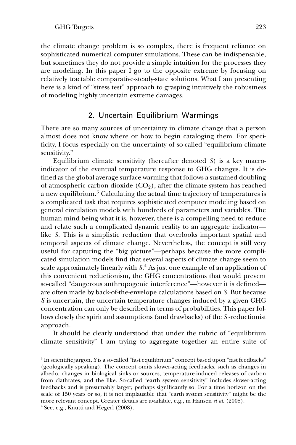the climate change problem is so complex, there is frequent reliance on sophisticated numerical computer simulations. These can be indispensable, but sometimes they do not provide a simple intuition for the processes they are modeling. In this paper I go to the opposite extreme by focusing on relatively tractable comparative-steady-state solutions. What I am presenting here is a kind of "stress test" approach to grasping intuitively the robustness of modeling highly uncertain extreme damages.

### 2. Uncertain Equilibrium Warmings

There are so many sources of uncertainty in climate change that a person almost does not know where or how to begin cataloging them. For specificity, I focus especially on the uncertainty of so-called "equilibrium climate sensitivity."

Equilibrium climate sensitivity (hereafter denoted *S*) is a key macroindicator of the eventual temperature response to GHG changes. It is defined as the global average surface warming that follows a sustained doubling of atmospheric carbon dioxide  $(CO<sub>2</sub>)$ , after the climate system has reached a new equilibrium.<sup>3</sup> Calculating the actual time trajectory of temperatures is a complicated task that requires sophisticated computer modeling based on general circulation models with hundreds of parameters and variables. The human mind being what it is, however, there is a compelling need to reduce and relate such a complicated dynamic reality to an aggregate indicator like *S*. This is a simplistic reduction that overlooks important spatial and temporal aspects of climate change. Nevertheless, the concept is still very useful for capturing the "big picture"—perhaps because the more complicated simulation models find that several aspects of climate change seem to scale approximately linearly with *S*. <sup>4</sup> As just one example of an application of this convenient reductionism, the GHG concentrations that would prevent so-called "dangerous anthropogenic interference"—however it is defined are often made by back-of-the-envelope calculations based on *S*. But because *S* is uncertain, the uncertain temperature changes induced by a given GHG concentration can only be described in terms of probabilities. This paper follows closely the spirit and assumptions (and drawbacks) of the *S* -reductionist approach.

It should be clearly understood that under the rubric of "equilibrium climate sensitivity" I am trying to aggregate together an entire suite of

<sup>3</sup> In scientific jargon, *S* is a so-called "fast equilibrium" concept based upon "fast feedbacks" (geologically speaking). The concept omits slower-acting feedbacks, such as changes in albedo, changes in biological sinks or sources, temperature-induced releases of carbon from clathrates, and the like. So-called "earth system sensitivity" includes slower-acting feedbacks and is presumably larger, perhaps significantly so. For a time horizon on the scale of 150 years or so, it is not implausible that "earth system sensitivity" might be the more relevant concept. Greater details are available, e.g., in Hansen *et al.* (2008).

 $4$  See, e.g., Knutti and Hegerl (2008).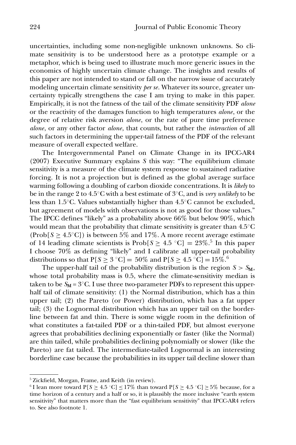uncertainties, including some non-negligible unknown unknowns. So climate sensitivity is to be understood here as a prototype example or a metaphor, which is being used to illustrate much more generic issues in the economics of highly uncertain climate change. The insights and results of this paper are not intended to stand or fall on the narrow issue of accurately modeling uncertain climate sensitivity *per se*. Whatever its source, greater uncertainty typically strengthens the case I am trying to make in this paper. Empirically, it is not the fatness of the tail of the climate sensitivity PDF *alone* or the reactivity of the damages function to high temperatures *alone*, or the degree of relative risk aversion *alone*, or the rate of pure time preference *alone*, or any other factor *alone*, that counts, but rather the *interaction* of all such factors in determining the upper-tail fatness of the PDF of the relevant measure of overall expected welfare.

The Intergovernmental Panel on Climate Change in its IPCC-AR4 (2007) Executive Summary explains *S* this way: "The equilibrium climate sensitivity is a measure of the climate system response to sustained radiative forcing. It is not a projection but is defined as the global average surface warming following a doubling of carbon dioxide concentrations. It is *likely* to be in the range 2 to 4.5◦C with a best estimate of 3◦C, and is *very unlikely* to be less than 1.5◦C. Values substantially higher than 4.5◦C cannot be excluded, but agreement of models with observations is not as good for those values." The IPCC defines "likely" as a probability above 66% but below 90%, which would mean that the probability that climate sensitivity is greater than  $4.5\textdegree C$  $(Prob[S \geq 4.5^{\circ}C])$  is between 5% and 17%. A more recent average estimate of 14 leading climate scientists is  $Prob[S \geq 4.5^{\circ}C] = 23\%$ <sup>5</sup>. In this paper I choose 70% as defining "likely" and I calibrate all upper-tail probability distributions so that  $P[S \ge 3 \text{ °C}] = 50\%$  and  $P[S \ge 4.5 \text{ °C}] = 15\%.$ <sup>6</sup>

The upper-half tail of the probability distribution is the region  $S > S_M$ , whose total probability mass is 0.5, where the climate-sensitivity median is taken to be  $S_M = 3^\circ \text{C}$ . I use three two-parameter PDFs to represent this upperhalf tail of climate sensitivity: (1) the Normal distribution, which has a thin upper tail; (2) the Pareto (or Power) distribution, which has a fat upper tail; (3) the Lognormal distribution which has an upper tail on the borderline between fat and thin. There is some wiggle room in the definition of what constitutes a fat-tailed PDF or a thin-tailed PDF, but almost everyone agrees that probabilities declining exponentially or faster (like the Normal) are thin tailed, while probabilities declining polynomially or slower (like the Pareto) are fat tailed. The intermediate-tailed Lognormal is an interesting borderline case because the probabilities in its upper tail decline slower than

<sup>5</sup> Zickfield, Morgan, Frame, and Keith (in review).

<sup>&</sup>lt;sup>6</sup> I lean more toward P[*S*  $\geq 4.5$  °C]  $\leq 17\%$  than toward P[*S*  $\geq 4.5$  °C]  $\geq 5\%$  because, for a time horizon of a century and a half or so, it is plausibly the more inclusive "earth system sensitivity" that matters more than the "fast equilibrium sensitivity" that IPCC-AR4 refers to. See also footnote 1.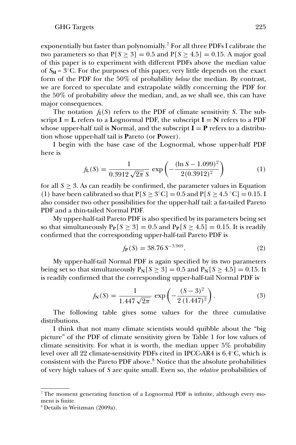exponentially but faster than polynomially.<sup>7</sup> For all three PDFs I calibrate the two parameters so that  $P[S \ge 3] = 0.5$  and  $P[S \ge 4.5] = 0.15$ . A major goal of this paper is to experiment with different PDFs above the median value of *S***<sup>M</sup>** = 3◦C. For the purposes of this paper, very little depends on the exact form of the PDF for the 50% of probability *below* the median. By contrast, we are forced to speculate and extrapolate wildly concerning the PDF for the 50% of probability *above* the median, and, as we shall see, this can have major consequences.

The notation  $f_I(S)$  refers to the PDF of climate sensitivity *S*. The subscript  $I = L$  refers to a Lognormal PDF, the subscript  $I = N$  refers to a PDF whose upper-half tail is **N**ormal, and the subscript  $I = P$  refers to a distribution whose upper-half tail is **P**areto (or **P**ower).

I begin with the base case of the Lognormal, whose upper-half PDF here is

$$
f_{\rm L}(S) = \frac{1}{0.3912\sqrt{2\pi} \, S} \, \exp\left(-\frac{(\ln S - 1.099)^2}{2(0.3912)^2}\right) \tag{1}
$$

for all  $S \geq 3$ . As can readily be confirmed, the parameter values in Equation (1) have been calibrated so that  $P[S \geq 3^{\circ}C] = 0.5$  and  $P[S \geq 4.5^{\circ}C] = 0.15$ . I also consider two other possibilities for the upper-half tail: a fat-tailed Pareto PDF and a thin-tailed Normal PDF.

My upper-half-tail Pareto PDF is also specified by its parameters being set so that simultaneously  $P_P[S \ge 3] = 0.5$  and  $P_P[S \ge 4.5] = 0.15$ . It is readily confirmed that the corresponding upper-half-tail Pareto PDF is

$$
f_{\mathbf{P}}(S) = 38.76 S^{-3.969}.
$$
 (2)

My upper-half-tail Normal PDF is again specified by its two parameters being set so that simultaneously  $P_N[S \ge 3] = 0.5$  and  $P_N[S \ge 4.5] = 0.15$ . It is readily confirmed that the corresponding upper-half-tail Normal PDF is

$$
f_{N}(S) = \frac{1}{1.447\sqrt{2\pi}} \exp\left(-\frac{(S-3)^{2}}{2(1.447)^{2}}\right).
$$
 (3)

The following table gives some values for the three cumulative distributions.

I think that not many climate scientists would quibble about the "big picture" of the PDF of climate sensitivity given by Table 1 for low values of climate sensitivity. For what it is worth, the median upper 5% probability level over all 22 climate-sensitivity PDFs cited in IPCC-AR4 is 6.4◦C, which is consistent with the Pareto PDF above.<sup>8</sup> Notice that the absolute probabilities of very high values of *S* are quite small. Even so, the *relative* probabilities of

<sup>7</sup> The moment generating function of a Lognormal PDF is infinite, although every moment is finite.

<sup>8</sup> Details in Weitzman (2009a).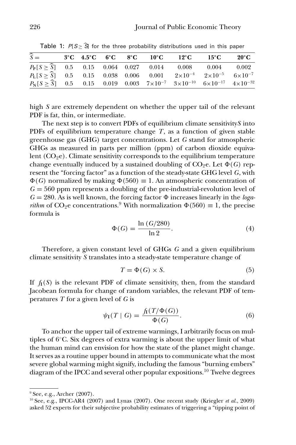| $\overline{\hat{s}} =$                                                                                                        |  |  | $3^{\circ}$ C 4.5 $^{\circ}$ C 6 $^{\circ}$ C 8 $^{\circ}$ C 10 $^{\circ}$ C 12 $^{\circ}$ C | $15^{\circ}$ C | $20^{\circ}$ C |
|-------------------------------------------------------------------------------------------------------------------------------|--|--|----------------------------------------------------------------------------------------------|----------------|----------------|
| $P_P[S \geq \widehat{S}]$ 0.5 0.15 0.064 0.027 0.014 0.008 0.004 0.002                                                        |  |  |                                                                                              |                |                |
| $P_L[S \geq \widehat{S}]$ 0.5 0.15 0.038 0.006 0.001 $2 \times 10^{-4}$ $2 \times 10^{-5}$ $6 \times 10^{-7}$                 |  |  |                                                                                              |                |                |
| $P_N[S \geq \widehat{S}]$ 0.5 0.15 0.019 0.003 $7 \times 10^{-7}$ $3 \times 10^{-10}$ $6 \times 10^{-17}$ $4 \times 10^{-32}$ |  |  |                                                                                              |                |                |

Table 1:  $P[S \geq \hat{S}]$  for the three probability distributions used in this paper

high *S* are extremely dependent on whether the upper tail of the relevant PDF is fat, thin, or intermediate.

The next step is to convert PDFs of equilibrium climate sensitivity*S* into PDFs of equilibrium temperature change *T*, as a function of given stable greenhouse gas (GHG) target concentrations. Let *G* stand for atmospheric GHGs as measured in parts per million (ppm) of carbon dioxide equivalent  $(CO_2e)$ . Climate sensitivity corresponds to the equilibrium temperature change eventually induced by a sustained doubling of  $CO<sub>2</sub>e$ . Let  $\Phi(G)$  represent the "forcing factor" as a function of the steady-state GHG level *G*, with  $\Phi(G)$  normalized by making  $\Phi(560) \equiv 1$ . An atmospheric concentration of *G* = 560 ppm represents a doubling of the pre-industrial-revolution level of  $G = 280$ . As is well known, the forcing factor  $\Phi$  increases linearly in the *logarithm* of CO<sub>2</sub>e concentrations.<sup>9</sup> With normalization  $\Phi(560) \equiv 1$ , the precise formula is

$$
\Phi(G) = \frac{\ln (G/280)}{\ln 2}.
$$
\n(4)

Therefore, a given constant level of GHGs *G* and a given equilibrium climate sensitivity *S* translates into a steady-state temperature change of

$$
T = \Phi(G) \times S. \tag{5}
$$

If  $f_1(S)$  is the relevant PDF of climate sensitivity, then, from the standard Jacobean formula for change of random variables, the relevant PDF of temperatures *T* for a given level of *G* is

$$
\psi_{\mathcal{I}}(T \mid G) = \frac{f_{\mathcal{I}}(T/\Phi(G))}{\Phi(G)}.
$$
\n(6)

To anchor the upper tail of extreme warmings, I arbitrarily focus on multiples of 6◦C. Six degrees of extra warming is about the upper limit of what the human mind can envision for how the state of the planet might change. It serves as a routine upper bound in attempts to communicate what the most severe global warming might signify, including the famous "burning embers" diagram of the IPCC and several other popular expositions.<sup>10</sup> Twelve degrees

 $9$  See, e.g., Archer (2007).

 $10$  See, e.g., IPCC-AR4 (2007) and Lynas (2007). One recent study (Kriegler *et al.*, 2009) asked 52 experts for their subjective probability estimates of triggering a "tipping point of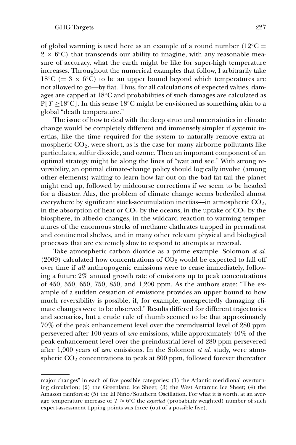of global warming is used here as an example of a round number ( $12°C =$  $2 \times 6\degree$ C) that transcends our ability to imagine, with any reasonable measure of accuracy, what the earth might be like for super-high temperature increases. Throughout the numerical examples that follow, I arbitrarily take 18<sup>°</sup>C (= 3  $\times$  6<sup>°</sup>C) to be an upper bound beyond which temperatures are not allowed to go—by fiat. Thus, for all calculations of expected values, damages are capped at 18◦C and probabilities of such damages are calculated as  $P[T \ge 18\degree C]$ . In this sense 18<sup>°</sup>C might be envisioned as something akin to a global "death temperature."

The issue of how to deal with the deep structural uncertainties in climate change would be completely different and immensely simpler if systemic inertias, like the time required for the system to naturally remove extra atmospheric  $CO<sub>2</sub>$ , were short, as is the case for many airborne pollutants like particulates, sulfur dioxide, and ozone. Then an important component of an optimal strategy might be along the lines of "wait and see." With strong reversibility, an optimal climate-change policy should logically involve (among other elements) waiting to learn how far out on the bad fat tail the planet might end up, followed by midcourse corrections if we seem to be headed for a disaster. Alas, the problem of climate change seems bedeviled almost everywhere by significant stock-accumulation inertias—in atmospheric  $CO<sub>2</sub>$ , in the absorption of heat or  $CO<sub>2</sub>$  by the oceans, in the uptake of  $CO<sub>2</sub>$  by the biosphere, in albedo changes, in the wildcard reaction to warming temperatures of the enormous stocks of methane clathrates trapped in permafrost and continental shelves, and in many other relevant physical and biological processes that are extremely slow to respond to attempts at reversal.

Take atmospheric carbon dioxide as a prime example. Solomon *et al.* (2009) calculated how concentrations of  $CO<sub>2</sub>$  would be expected to fall off over time if *all* anthropogenic emissions were to cease immediately, following a future 2% annual growth rate of emissions up to peak concentrations of 450, 550, 650, 750, 850, and 1,200 ppm. As the authors state: "The example of a sudden cessation of emissions provides an upper bound to how much reversibility is possible, if, for example, unexpectedly damaging climate changes were to be observed." Results differed for different trajectories and scenarios, but a crude rule of thumb seemed to be that approximately 70% of the peak enhancement level over the preindustrial level of 280 ppm persevered after 100 years of *zero* emissions, while approximately 40% of the peak enhancement level over the preindustrial level of 280 ppm persevered after 1,000 years of *zero* emissions. In the Solomon *et al.* study, were atmospheric  $CO<sub>2</sub>$  concentrations to peak at 800 ppm, followed forever thereafter

major changes" in each of five possible categories: (1) the Atlantic meridional overturning circulation; (2) the Greenland Ice Sheet; (3) the West Antarctic Ice Sheet; (4) the Amazon rainforest;  $(5)$  the El Niño/Southern Oscillation. For what it is worth, at an average temperature increase of  $T \approx 6^{\circ}$ C the *expected* (probability weighted) number of such expert-assessment tipping points was three (out of a possible five).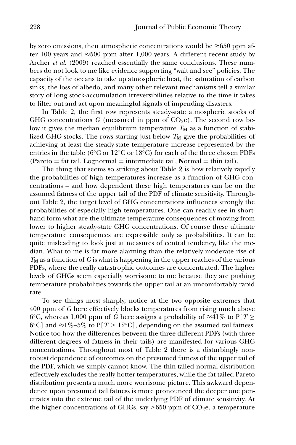by zero emissions, then atmospheric concentrations would be  $\approx$ 650 ppm after 100 years and  $\approx$ 500 ppm after 1,000 years. A different recent study by Archer *et al.* (2009) reached essentially the same conclusions. These numbers do not look to me like evidence supporting "wait and see" policies. The capacity of the oceans to take up atmospheric heat, the saturation of carbon sinks, the loss of albedo, and many other relevant mechanisms tell a similar story of long stock-accumulation irreversibilities relative to the time it takes to filter out and act upon meaningful signals of impending disasters.

In Table 2, the first row represents steady-state atmospheric stocks of GHG concentrations  $G$  (measured in ppm of  $CO<sub>2</sub>e$ ). The second row below it gives the median equilibrium temperature  $T_M$  as a function of stabilized GHG stocks. The rows starting just below  $T_M$  give the probabilities of achieving at least the steady-state temperature increase represented by the entries in the table ( $6^{\circ}$ C or  $12^{\circ}$ C or  $18^{\circ}$ C) for each of the three chosen PDFs (**P**areto = fat tail, **L**ognormal = intermediate tail, **N**ormal = thin tail).

The thing that seems so striking about Table 2 is how relatively rapidly the probabilities of high temperatures increase as a function of GHG concentrations – and how dependent these high temperatures can be on the assumed fatness of the upper tail of the PDF of climate sensitivity. Throughout Table 2, the target level of GHG concentrations influences strongly the probabilities of especially high temperatures. One can readily see in shorthand form what are the ultimate temperature consequences of moving from lower to higher steady-state GHG concentrations. Of course these ultimate temperature consequences are expressible only as probabilities. It can be quite misleading to look just at measures of central tendency, like the median. What to me is far more alarming than the relatively moderate rise of  $T_M$  as a function of *G* is what is happening in the upper reaches of the various PDFs, where the really catastrophic outcomes are concentrated. The higher levels of GHGs seem especially worrisome to me because they are pushing temperature probabilities towards the upper tail at an uncomfortably rapid rate.

To see things most sharply, notice at the two opposite extremes that 400 ppm of *G* here effectively blocks temperatures from rising much above 6 $\degree$ C, whereas 1,000 ppm of *G* here assigns a probability of  $\approx$ 41\% to P[*T*  $\ge$  $6^{\circ}$ C] and  $\approx$ 1%–5% to P[*T*  $\geq$  12 $^{\circ}$ C], depending on the assumed tail fatness. Notice too how the differences between the three different PDFs (with three different degrees of fatness in their tails) are manifested for various GHG concentrations. Throughout most of Table 2 there is a disturbingly nonrobust dependence of outcomes on the presumed fatness of the upper tail of the PDF, which we simply cannot know. The thin-tailed normal distribution effectively excludes the really hotter temperatures, while the fat-tailed Pareto distribution presents a much more worrisome picture. This awkward dependence upon presumed tail fatness is more pronounced the deeper one penetrates into the extreme tail of the underlying PDF of climate sensitivity. At the higher concentrations of GHGs, say  $\geq$ 650 ppm of CO<sub>2</sub>e, a temperature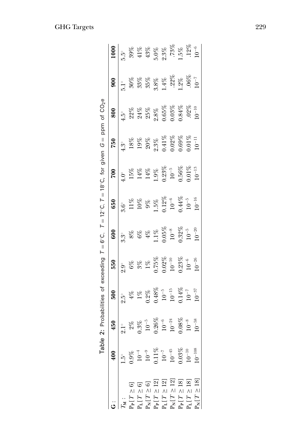|                                                                                                                                                                                                                                                                                                                                                                                                                                                    |                                                                                                                                                             | able 2: Probabilities of                                               |                                                                                                                                                                                                                                                                                                                        | exceeding                                                                                            | $T = 6^{\circ}$ C,                                                     |                                                                                                                                                                                                                                                                                                                                                           | $T = 12^{\circ}$ C, $T = 18^{\circ}$ C, for given $G =$                | ppm                                                                                                                                                                                                                                                                         | of $CO2e$                                                                                                                                                                                                                                                                     |                                                                                                       |                                                                                                              |
|----------------------------------------------------------------------------------------------------------------------------------------------------------------------------------------------------------------------------------------------------------------------------------------------------------------------------------------------------------------------------------------------------------------------------------------------------|-------------------------------------------------------------------------------------------------------------------------------------------------------------|------------------------------------------------------------------------|------------------------------------------------------------------------------------------------------------------------------------------------------------------------------------------------------------------------------------------------------------------------------------------------------------------------|------------------------------------------------------------------------------------------------------|------------------------------------------------------------------------|-----------------------------------------------------------------------------------------------------------------------------------------------------------------------------------------------------------------------------------------------------------------------------------------------------------------------------------------------------------|------------------------------------------------------------------------|-----------------------------------------------------------------------------------------------------------------------------------------------------------------------------------------------------------------------------------------------------------------------------|-------------------------------------------------------------------------------------------------------------------------------------------------------------------------------------------------------------------------------------------------------------------------------|-------------------------------------------------------------------------------------------------------|--------------------------------------------------------------------------------------------------------------|
|                                                                                                                                                                                                                                                                                                                                                                                                                                                    |                                                                                                                                                             | 450                                                                    | 500                                                                                                                                                                                                                                                                                                                    | 550                                                                                                  | 600                                                                    | 650                                                                                                                                                                                                                                                                                                                                                       | 700                                                                    | 750                                                                                                                                                                                                                                                                         | $\overline{\textbf{8}}$                                                                                                                                                                                                                                                       | $\frac{6}{10}$                                                                                        | 1000                                                                                                         |
|                                                                                                                                                                                                                                                                                                                                                                                                                                                    |                                                                                                                                                             |                                                                        |                                                                                                                                                                                                                                                                                                                        |                                                                                                      |                                                                        |                                                                                                                                                                                                                                                                                                                                                           |                                                                        |                                                                                                                                                                                                                                                                             |                                                                                                                                                                                                                                                                               |                                                                                                       | $.5^{\circ}$                                                                                                 |
|                                                                                                                                                                                                                                                                                                                                                                                                                                                    | 1.5°<br>0.9%<br>10 <sup>-4</sup><br>10 <sup>-9</sup><br>10 <sup>-7</sup><br>10 <sup>-7</sup><br>10 <sup>-16</sup><br>10 <sup>-16</sup><br>10 <sup>-16</sup> | 2.1<br>2%<br>2%<br>2%<br>20.3%<br>10-5<br>10-8<br>10-8<br>10-8<br>10-8 | $\frac{4\%}{4\%}$<br>$\frac{1\%}{1\%}$<br>$\frac{1\%}{1\%}$<br>$\frac{1\%}{1\%}$<br>$\frac{1\%}{1\%}$<br>$\frac{1\%}{1\%}$<br>$\frac{1\%}{1\%}$<br>$\frac{1\%}{1\%}$<br>$\frac{1\%}{1\%}$<br>$\frac{1\%}{1\%}$<br>$\frac{1\%}{1\%}$<br>$\frac{1\%}{1\%}$<br>$\frac{1\%}{1\%}$<br>$\frac{1\%}{1\%}$<br>$\frac{1\%}{1\%$ | $2.9$<br>6%<br>$3\%$<br>$3\%$<br>$1\%$<br>$1\%$<br>$0.75\%$<br>$10^{-10}$<br>$10^{-8}$<br>$10^{-26}$ | 3.3°<br>8%<br>6%<br>4%<br>4%<br>10.65%<br>10-2<br>10-2<br>10-2<br>10-2 | $\begin{array}{l} 3.6^{\circ} \\ 11\% \\ 10\% \\ 9\% \\ 1.5\% \\ 1.5\% \\ 10^{-6} \\ 10^{-6} \\ 10^{-5} \\ 10^{-5} \\ 10^{-5} \\ 10^{-1} \\ 10^{-1} \\ 10^{-1} \\ 10^{-1} \\ 10^{-1} \\ 10^{-1} \\ 10^{-1} \\ 10^{-1} \\ 10^{-1} \\ 10^{-1} \\ 10^{-1} \\ 10^{-1} \\ 10^{-1} \\ 10^{-1} \\ 10^{-1} \\ 10^{-1} \\ 10^{-1} \\ 10^{-1} \\ 10^{-1} \\ 10^{-1$ | 4.0°<br>15%<br>14%<br>14%<br>14%<br>10.56%<br>10.56%<br>0.56%<br>0.01% | $\begin{array}{l} 4.3^\circ\\ 18\%\\ 19\%\\ 20\%\\ 2.3\%\\ 0.41\%\\ 0.69\%\\ 0.01\%\\ 0.01\%\\ 0.01\%\\ 0.01\%\\ 0.01\%\\ 10\%\\ 10\%\\ 10\%\\ 10\%\\ 10\%\\ 10\%\\ 10\%\\ 10\%\\ 10\%\\ 10\%\\ 10\%\\ 10\%\\ 10\%\\ 10\%\\ 10\%\\ 10\%\\ 10\%\\ 10\%\\ 10\%\\ 10\%\\ 10\%$ | $\begin{array}{l} 4.5\circ\\ 22\%\\ 24\%\\ 25\%\\ 26\%\\ 28\%\\ 26\%\\ 26\%\\ 26\%\\ 26\%\\ 26\%\\ 26\%\\ 26\%\\ 26\%\\ 26\%\\ 26\%\\ 26\%\\ 26\%\\ 26\%\\ 26\%\\ 26\%\\ 26\%\\ 26\%\\ 26\%\\ 26\%\\ 26\%\\ 26\%\\ 26\%\\ 26\%\\ 26\%\\ 26\%\\ 26\%\\ 26\%\\ 26\%\\ 26\%\\ 2$ | $5.1^{\circ}$<br>$3.8\%$<br>$3.8\%$<br>$3.4\%$<br>$1.4\%$<br>$1.2\%$<br>$1.6\%$<br>$1.6\%$<br>$1.6\%$ |                                                                                                              |
|                                                                                                                                                                                                                                                                                                                                                                                                                                                    |                                                                                                                                                             |                                                                        |                                                                                                                                                                                                                                                                                                                        |                                                                                                      |                                                                        |                                                                                                                                                                                                                                                                                                                                                           |                                                                        |                                                                                                                                                                                                                                                                             |                                                                                                                                                                                                                                                                               |                                                                                                       |                                                                                                              |
|                                                                                                                                                                                                                                                                                                                                                                                                                                                    |                                                                                                                                                             |                                                                        |                                                                                                                                                                                                                                                                                                                        |                                                                                                      |                                                                        |                                                                                                                                                                                                                                                                                                                                                           |                                                                        |                                                                                                                                                                                                                                                                             |                                                                                                                                                                                                                                                                               |                                                                                                       |                                                                                                              |
|                                                                                                                                                                                                                                                                                                                                                                                                                                                    |                                                                                                                                                             |                                                                        |                                                                                                                                                                                                                                                                                                                        |                                                                                                      |                                                                        |                                                                                                                                                                                                                                                                                                                                                           |                                                                        |                                                                                                                                                                                                                                                                             |                                                                                                                                                                                                                                                                               |                                                                                                       |                                                                                                              |
|                                                                                                                                                                                                                                                                                                                                                                                                                                                    |                                                                                                                                                             |                                                                        |                                                                                                                                                                                                                                                                                                                        |                                                                                                      |                                                                        |                                                                                                                                                                                                                                                                                                                                                           |                                                                        |                                                                                                                                                                                                                                                                             |                                                                                                                                                                                                                                                                               |                                                                                                       |                                                                                                              |
|                                                                                                                                                                                                                                                                                                                                                                                                                                                    |                                                                                                                                                             |                                                                        |                                                                                                                                                                                                                                                                                                                        |                                                                                                      |                                                                        |                                                                                                                                                                                                                                                                                                                                                           |                                                                        |                                                                                                                                                                                                                                                                             |                                                                                                                                                                                                                                                                               |                                                                                                       |                                                                                                              |
|                                                                                                                                                                                                                                                                                                                                                                                                                                                    |                                                                                                                                                             |                                                                        |                                                                                                                                                                                                                                                                                                                        |                                                                                                      |                                                                        |                                                                                                                                                                                                                                                                                                                                                           |                                                                        |                                                                                                                                                                                                                                                                             |                                                                                                                                                                                                                                                                               |                                                                                                       |                                                                                                              |
|                                                                                                                                                                                                                                                                                                                                                                                                                                                    |                                                                                                                                                             |                                                                        |                                                                                                                                                                                                                                                                                                                        |                                                                                                      |                                                                        |                                                                                                                                                                                                                                                                                                                                                           |                                                                        |                                                                                                                                                                                                                                                                             |                                                                                                                                                                                                                                                                               |                                                                                                       |                                                                                                              |
| $\begin{array}{l} \text{Pr}\left[T\geq 6\right] \\ \text{Pr}\left[T\geq 6\right] \\ \text{Pr}\left[T\geq 6\right] \\ \text{Pr}\left[T\geq 2\right] \\ \text{Pr}\left[T\geq 12\right] \\ \text{Pr}\left[T\geq 12\right] \\ \text{Pr}\left[T\geq 12\right] \\ \text{Pr}\left[T\geq 18\right] \\ \text{Pr}\left[T\geq 18\right] \\ \text{Pr}\left[T\geq 18\right] \\ \text{Pr}\left[T\geq 18\right] \\ \text{Pr}\left[T\geq 18\right] \\ \end{array}$ |                                                                                                                                                             |                                                                        |                                                                                                                                                                                                                                                                                                                        |                                                                                                      |                                                                        |                                                                                                                                                                                                                                                                                                                                                           |                                                                        |                                                                                                                                                                                                                                                                             |                                                                                                                                                                                                                                                                               |                                                                                                       | $\begin{array}{l} 39\% \\ 41\% \\ 43\% \\ 5.0\% \\ 2.3\% \\ 1.5\% \\ 1.2\% \\ 1.2\% \\ 1.2\% \\ \end{array}$ |
|                                                                                                                                                                                                                                                                                                                                                                                                                                                    |                                                                                                                                                             |                                                                        |                                                                                                                                                                                                                                                                                                                        |                                                                                                      |                                                                        |                                                                                                                                                                                                                                                                                                                                                           |                                                                        |                                                                                                                                                                                                                                                                             |                                                                                                                                                                                                                                                                               |                                                                                                       |                                                                                                              |

GHG Targets 229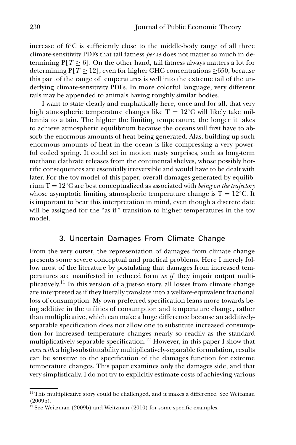increase of 6◦C is sufficiently close to the middle-body range of all three climate-sensitivity PDFs that tail fatness *per se* does not matter so much in determining  $P[T \ge 6]$ . On the other hand, tail fatness always matters a lot for determining  $P[T \ge 12]$ , even for higher GHG concentrations  $\ge 650$ , because this part of the range of temperatures is well into the extreme tail of the underlying climate-sensitivity PDFs. In more colorful language, very different tails may be appended to animals having roughly similar bodies.

I want to state clearly and emphatically here, once and for all, that very high atmospheric temperature changes like  $T = 12$ <sup>o</sup>C will likely take millennia to attain. The higher the limiting temperature, the longer it takes to achieve atmospheric equilibrium because the oceans will first have to absorb the enormous amounts of heat being generated. Alas, building up such enormous amounts of heat in the ocean is like compressing a very powerful coiled spring. It could set in motion nasty surprises, such as long-term methane clathrate releases from the continental shelves, whose possibly horrific consequences are essentially irreversible and would have to be dealt with later. For the toy model of this paper, overall damages generated by equilibrium T = 12◦C are best conceptualized as associated with *being on the trajectory* whose asymptotic limiting atmospheric temperature change is  $T = 12°C$ . It is important to bear this interpretation in mind, even though a discrete date will be assigned for the "as if" transition to higher temperatures in the toy model.

## 3. Uncertain Damages From Climate Change

From the very outset, the representation of damages from climate change presents some severe conceptual and practical problems. Here I merely follow most of the literature by postulating that damages from increased temperatures are manifested in reduced form *as if* they impair output multiplicatively.<sup>11</sup> In this version of a just-so story, all losses from climate change are interpreted as if they literally translate into a welfare-equivalent fractional loss of consumption. My own preferred specification leans more towards being additive in the utilities of consumption and temperature change, rather than multiplicative, which can make a huge difference because an additivelyseparable specification does not allow one to substitute increased consumption for increased temperature changes nearly so readily as the standard multiplicatively-separable specification.<sup>12</sup> However, in this paper I show that *even with* a high-substitutability multiplicatively-separable formulation, results can be sensitive to the specification of the damages function for extreme temperature changes. This paper examines only the damages side, and that very simplistically. I do not try to explicitly estimate costs of achieving various

 $11$  This multiplicative story could be challenged, and it makes a difference. See Weitzman (2009b).

 $12$  See Weitzman (2009b) and Weitzman (2010) for some specific examples.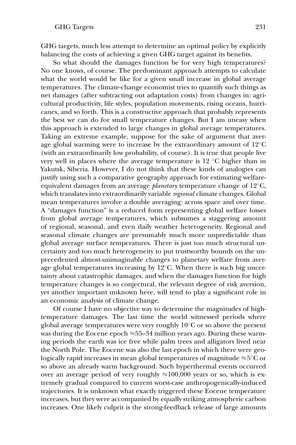GHG targets, much less attempt to determine an optimal policy by explicitly balancing the costs of achieving a given GHG target against its benefits.

So what should the damages function be for very high temperatures? No one knows, of course. The predominant approach attempts to calculate what the world would be like for a given small increase in global average temperatures. The climate-change economist tries to quantify such things as net damages (after subtracting out adaptation costs) from changes in: agricultural productivity, life styles, population movements, rising oceans, hurricanes, and so forth. This is a constructive approach that probably represents the best we can do for small temperature changes. But I am uneasy when this approach is extended to large changes in global average temperatures. Taking an extreme example, suppose for the sake of argument that average global warming were to increase by the extraordinary amount of 12◦C (with an extraordinarily low probability, of course). It is true that people live very well in places where the average temperature is  $12 \degree C$  higher than in Yakutsk, Siberia. However, I do not think that these kinds of analogies can justify using such a comparative geography approach for estimating welfareequivalent damages from an average *planetary* temperature change of 12◦C, which translates into extraordinarily variable *regional* climate changes. Global mean temperatures involve a double averaging: across space and over time. A "damages function" is a reduced form representing global welfare losses from global average temperatures, which subsumes a staggering amount of regional, seasonal, and even daily weather heterogeneity. Regional and seasonal climate changes are presumably much more unpredictable than global average surface temperatures. There is just too much structural uncertainty and too much heterogeneity to put trustworthy bounds on the unprecedented almost-unimaginable changes to planetary welfare from average global temperatures increasing by 12◦C. When there is such big uncertainty about catastrophic damages, and when the damages function for high temperature changes is so conjectural, the relevant degree of risk aversion, yet another important unknown here, will tend to play a significant role in an economic analysis of climate change.

Of course I have no objective way to determine the magnitudes of hightemperature damages. The last time the world witnessed periods where global average temperatures were very roughly  $10°C$  or so above the present was during the Eocene epoch ≈55–34 million years ago. During these warming periods the earth was ice free while palm trees and alligators lived near the North Pole. The Eocene was also the last epoch in which there were geologically rapid increases in mean global temperatures of magnitude ≈5◦C or so above an already warm background. Such hyperthermal events occurred over an average period of very roughly  $\approx 100,000$  years or so, which is extremely gradual compared to current worst-case anthropogenically-induced trajectories. It is unknown what exactly triggered these Eocene temperature increases, but they were accompanied by equally striking atmospheric carbon increases. One likely culprit is the strong-feedback release of large amounts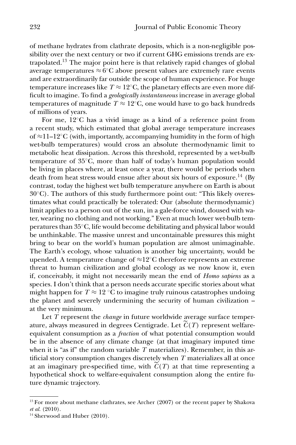of methane hydrates from clathrate deposits, which is a non-negligible possibility over the next century or two if current GHG emissions trends are extrapolated.13 The major point here is that relatively rapid changes of global average temperatures  $\approx 6^{\circ}$ C above present values are extremely rare events and are extraordinarily far outside the scope of human experience. For huge temperature increases like  $T \approx 12^{\circ}$ C, the planetary effects are even more difficult to imagine. To find a *geologically instantaneous* increase in average global temperatures of magnitude  $T \approx 12^{\circ}$ C, one would have to go back hundreds of millions of years.

For me, 12◦C has a vivid image as a kind of a reference point from a recent study, which estimated that global average temperature increases of ≈11–12◦C (with, importantly, accompanying humidity in the form of high wet-bulb temperatures) would cross an absolute thermodynamic limit to metabolic heat dissipation. Across this threshold, represented by a wet-bulb temperature of 35◦C, more than half of today's human population would be living in places where, at least once a year, there would be periods when death from heat stress would ensue after about six hours of exposure.<sup>14</sup> (By contrast, today the highest wet bulb temperature anywhere on Earth is about 30◦C). The authors of this study furthermore point out: "This likely overestimates what could practically be tolerated: Our (absolute thermodynamic) limit applies to a person out of the sun, in a gale-force wind, doused with water, wearing no clothing and not working." Even at much lower wet-bulb temperatures than 35◦C, life would become debilitating and physical labor would be unthinkable. The massive unrest and uncontainable pressures this might bring to bear on the world's human population are almost unimaginable. The Earth's ecology, whose valuation is another big uncertainty, would be upended. A temperature change of  $\approx$ 12 $^{\circ}$ C therefore represents an extreme threat to human civilization and global ecology as we now know it, even if, conceivably, it might not necessarily mean the end of *Homo sapiens* as a species. I don't think that a person needs accurate specific stories about what might happen for  $T \approx 12$  °C to imagine truly ruinous catastrophes undoing the planet and severely undermining the security of human civilization – at the very minimum.

Let *T* represent the *change* in future worldwide average surface temperature, always measured in degrees Centigrade. Let *C*(*T*) represent welfareequivalent consumption as a *fraction* of what potential consumption would be in the absence of any climate change (at that imaginary imputed time when it is "as if" the random variable *T* materializes). Remember, in this artificial story consumption changes discretely when *T* materializes all at once at an imaginary pre-specified time, with  $C(T)$  at that time representing a hypothetical shock to welfare-equivalent consumption along the entire future dynamic trajectory.

<sup>&</sup>lt;sup>13</sup> For more about methane clathrates, see Archer (2007) or the recent paper by Shakova *et al.* (2010).

<sup>&</sup>lt;sup>14</sup> Sherwood and Huber (2010).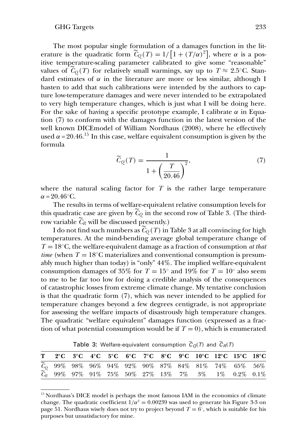The most popular single formulation of a damages function in the literature is the quadratic form  $\widetilde{C}_Q(T) = 1/ [1 + (T/\alpha)^2]$ , where  $\alpha$  is a positive temperature-scaling parameter calibrated to give some "reasonable" values of  $C_Q(T)$  for relatively small warmings, say up to  $T \approx 2.5$ °C. Standard estimates of  $\alpha$  in the literature are more or less similar, although I hasten to add that such calibrations were intended by the authors to capture low-temperature damages and were never intended to be extrapolated to very high temperature changes, which is just what I will be doing here. For the sake of having a specific prototype example, I calibrate  $\alpha$  in Equation (7) to conform with the damages function in the latest version of the well known DICEmodel of William Nordhaus (2008), where he effectively used  $\alpha$  = 20.46.<sup>15</sup> In this case, welfare equivalent consumption is given by the formula

$$
\widetilde{C}_Q(T) = \frac{1}{1 + \left(\frac{T}{20.46}\right)^2},\tag{7}
$$

where the natural scaling factor for *T* is the rather large temperature  $\alpha = 20.46^{\circ}$ C.

The results in terms of welfare-equivalent relative consumption levels for this quadratic case are given by  $\tilde{C}_Q$  in the second row of Table 3. (The thirdrow variable  $\widetilde{C}_R$  will be discussed presently.)

I do not find such numbers as  $\ddot{C}_O(T)$  in Table 3 at all convincing for high temperatures. At the mind-bending average global temperature change of *T* = 18◦C, the welfare-equivalent damage as a fraction of consumption *at that time* (when  $T = 18\degree$ C materializes and conventional consumption is presumably much higher than today) is "only" 44%. The implied welfare-equivalent consumption damages of 35% for  $T = 15°$  and 19% for  $T = 10°$  also seem to me to be far too low for doing a credible analysis of the consequences of catastrophic losses from extreme climate change. My tentative conclusion is that the quadratic form (7), which was never intended to be applied for temperature changes beyond a few degrees centigrade, is not appropriate for assessing the welfare impacts of disastrously high temperature changes. The quadratic "welfare equivalent" damages function (expressed as a fraction of what potential consumption would be if  $T = 0$ , which is enumerated

Table 3: Welfare-equivalent consumption  $\tilde{C}_Q(T)$  and  $\tilde{C}_R(T)$ 

|                   |  |  |  |  |  | $T = 2^{\circ}C - 3^{\circ}C - 4^{\circ}C - 5^{\circ}C - 6^{\circ}C - 7^{\circ}C - 8^{\circ}C - 9^{\circ}C - 10^{\circ}C - 12^{\circ}C - 15^{\circ}C - 18^{\circ}C$ |  |
|-------------------|--|--|--|--|--|---------------------------------------------------------------------------------------------------------------------------------------------------------------------|--|
| $\overline{\sim}$ |  |  |  |  |  | $C_0$ 99% 98% 96% 94% 92% 90% 87% 84% 81% 74% 65% 56%                                                                                                               |  |
|                   |  |  |  |  |  | $\widetilde{C}_R$ 99% 97% 91% 75% 50% 27% 13% 7% 3% 1% 0.2% 0.1%                                                                                                    |  |

<sup>15</sup> Nordhaus's DICE model is perhaps the most famous IAM in the economics of climate change. The quadratic coefficient  $1/\alpha^2 = 0.00239$  was used to generate his Figure 3-3 on page 51. Nordhaus wisely does not try to project beyond  $T = 6°$ , which is suitable for his purposes but unsatisfactory for mine.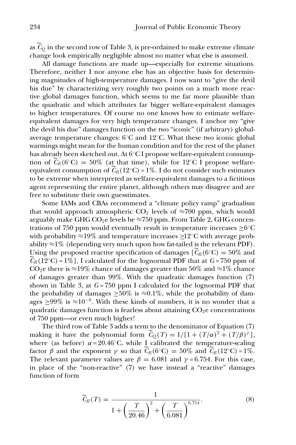as  $C<sub>Q</sub>$  in the second row of Table 3, is pre-ordained to make extreme climate change look empirically negligible almost no matter what else is assumed.

All damage functions are made up—especially for extreme situations. Therefore, neither I nor anyone else has an objective basis for determining magnitudes of high-temperature damages. I now want to "give the devil his due" by characterizing very roughly two points on a much more reactive global damages function, which seems to me far more plausible than the quadratic and which attributes far bigger welfare-equivalent damages to higher temperatures. Of course no one knows how to estimate welfareequivalent damages for very high temperature changes. I anchor my "give the devil his due" damages function on the two "iconic" (if arbitrary) globalaverage temperature changes:  $6\degree$ C and  $12\degree$ C. What these two iconic global warmings might mean for the human condition and for the rest of the planet has already been sketched out. At 6℃ I propose welfare-equivalent consumption of  $C_R(6°C) = 50\%$  (at that time), while for 12°C I propose welfareequivalent consumption of  $C_R(12°C) = 1\%$ . I do not consider such estimates to be extreme when interpreted as welfare-equivalent damages to a fictitious agent representing the entire planet, although others may disagree and are free to substitute their own guesstimates.

Some IAMs and CBAs recommend a "climate policy ramp" gradualism that would approach atmospheric  $CO<sub>2</sub>$  levels of ≈700 ppm, which would arguably make GHG CO<sub>2</sub>e levels be  $\approx 750$  ppm. From Table 2, GHG concentrations of 750 ppm would eventually result in temperature increases  $\geq 6$ <sup>°</sup>C with probability ≈19% and temperature increases ≥12◦C with average probability  $\approx$ 1% (depending very much upon how fat-tailed is the relevant PDF). Using the proposed reactive specification of damages  $[ C_R (6°C) = 50\%$  and  $C_R(12^{\circ}\text{C}) = 1\%$ , I calculated for the lognormal PDF that at  $G = 750$  ppm of CO<sub>2</sub>e there is ≈19% chance of damages greater than 50% and ≈1% chance of damages greater than 99%. With the quadratic damages function (7) shown in Table 3, at  $G = 750$  ppm I calculated for the lognormal PDF that the probability of damages  $\geq 50\%$  is  $\approx 0.1\%$ , while the probability of damages ≥99% is ≈10<sup>-8</sup>. With these kinds of numbers, it is no wonder that a quadratic damages function is fearless about attaining  $CO<sub>2</sub>e$  concentrations of 750 ppm—or even much higher!

The third row of Table 3 adds a term to the denominator of Equation (7) making it have the polynomial form  $\widetilde{C}_Q(T) = 1/[1 + (T/\alpha)^2 + (T/\beta)^{\gamma}],$ where (as before)  $\alpha = 20.46\degree C$ , while I calibrated the temperature-scaling factor  $\beta$  and the exponent  $\gamma$  so that  $C_R(6°C) = 50\%$  and  $C_R(12°C) = 1\%$ . The relevant parameter values are  $\beta = 6.081$  and  $\gamma = 6.754$ . For this case, in place of the "non-reactive" (7) we have instead a "reactive" damages function of form

$$
\widetilde{C}_R(T) = \frac{1}{1 + \left(\frac{T}{20.46}\right)^2 + \left(\frac{T}{6.081}\right)^{6.754}}.
$$
\n(8)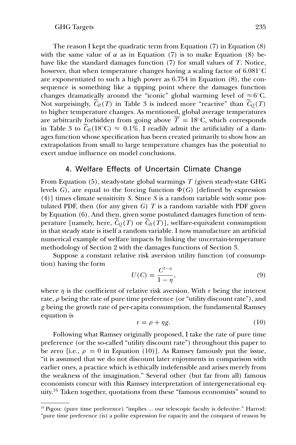The reason I kept the quadratic term from Equation (7) in Equation (8) with the same value of  $\alpha$  as in Equation (7) is to make Equation (8) behave like the standard damages function (7) for small values of *T*. Notice, however, that when temperature changes having a scaling factor of 6.081◦C are exponentiated to such a high power as 6.754 in Equation (8), the consequence is something like a tipping point where the damages function changes dramatically around the "iconic" global warming level of  $\approx 6^{\circ}$ C. Not surprisingly,  $C_R(T)$  in Table 3 is indeed more "reactive" than  $C_Q(T)$ to higher temperature changes. As mentioned, global average temperatures are arbitrarily forbidden from going above  $T = 18^\circ \text{C}$ , which corresponds in Table 3 to  $C_R(18°C) \approx 0.1\%$ . I readily admit the artificiality of a damages function whose specification has been created primarily to show how an extrapolation from small to large temperature changes has the potential to exert undue influence on model conclusions.

### 4. Welfare Effects of Uncertain Climate Change

From Equation (5), steady-state global warmings *T* (given steady-state GHG levels  $G$ ), are equal to the forcing function  $\Phi(G)$  [defined by expression (4)] times climate sensitivity *S*. Since *S* is a random variable with some postulated PDF, then (for any given  $G$ )  $T$  is a random variable with PDF given by Equation (6). And then, given some postulated damages function of temperature [namely, here,  $C_0(T)$  or  $C_R(T)$ ], welfare-equivalent consumption in that steady state is itself a random variable. I now manufacture an artificial numerical example of welfare impacts by linking the uncertain-temperature methodology of Section 2 with the damages functions of Section 3.

Suppose a constant relative risk aversion utility function (of consumption) having the form

$$
U(C) = \frac{C^{1-\eta}}{1-\eta},
$$
\n(9)

where η is the coefficient of relative risk aversion. With *r* being the interest rate,  $\rho$  being the rate of pure time preference (or "utility discount rate"), and *g* being the growth rate of per-capita consumption, the fundamental Ramsey equation is

$$
r = \rho + \eta g. \tag{10}
$$

Following what Ramsey originally proposed, I take the rate of pure time preference (or the so-called "utility discount rate") throughout this paper to be zero [i.e.,  $\rho = 0$  in Equation (10)]. As Ramsey famously put the issue, "it is assumed that we do not discount later enjoyments in comparison with earlier ones, a practice which is ethically indefensible and arises merely from the weakness of the imagination." Several other (but far from all) famous economists concur with this Ramsey interpretation of intergenerational equity.<sup>16</sup> Taken together, quotations from these "famous economists" sound to

<sup>&</sup>lt;sup>16</sup> Pigou: (pure time preference) "implies ... our telescopic faculty is defective." Harrod: "pure time preference (is) a polite expression for rapacity and the conquest of reason by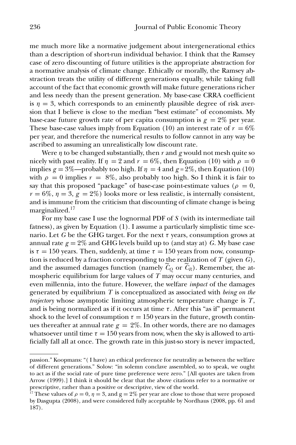me much more like a normative judgement about intergenerational ethics than a description of short-run individual behavior. I think that the Ramsey case of zero discounting of future utilities is the appropriate abstraction for a normative analysis of climate change. Ethically or morally, the Ramsey abstraction treats the utility of different generations equally, while taking full account of the fact that economic growth will make future generations richer and less needy than the present generation. My base-case CRRA coefficient is  $\eta = 3$ , which corresponds to an eminently plausible degree of risk aversion that I believe is close to the median "best estimate" of economists. My base-case future growth rate of per capita consumption is  $g = 2\%$  per year. These base-case values imply from Equation (10) an interest rate of  $r = 6\%$ per year, and therefore the numerical results to follow cannot in any way be ascribed to assuming an unrealistically low discount rate.

Were η to be changed substantially, then *r* and *g* would not mesh quite so nicely with past reality. If  $\eta = 2$  and  $r = 6\%$ , then Equation (10) with  $\rho = 0$ implies  $g = 3\%$ —probably too high. If  $\eta = 4$  and  $g = 2\%$ , then Equation (10) with  $\rho = 0$  implies  $r = 8\%$ , also probably too high. So I think it is fair to say that this proposed "package" of base-case point-estimate values ( $\rho = 0$ ,  $r = 6\%, \eta = 3, g = 2\%)$  looks more or less realistic, is internally consistent, and is immune from the criticism that discounting of climate change is being marginalized.<sup>17</sup>

For my base case I use the lognormal PDF of *S* (with its intermediate tail fatness), as given by Equation (1). I assume a particularly simplistic time scenario. Let *G* be the GHG target. For the next  $\tau$  years, consumption grows at annual rate  $g = 2\%$  and GHG levels build up to (and stay at) *G*. My base case is  $\tau = 150$  years. Then, suddenly, at time  $\tau = 150$  years from now, consumption is reduced by a fraction corresponding to the realization of *T* (given *G*), and the assumed damages function (namely  $C_Q$  or  $C_R$ ). Remember, the atmospheric equilibrium for large values of *T* may occur many centuries, and even millennia, into the future. However, the welfare *impact* of the damages generated by equilibrium *T* is conceptualized as associated with *being on the trajectory* whose asymptotic limiting atmospheric temperature change is *T*, and is being normalized as if it occurs at time  $\tau$ . After this "as if" permanent shock to the level of consumption  $\tau = 150$  years in the future, growth continues thereafter at annual rate  $g = 2\%$ . In other words, there are no damages whatsoever until time  $\tau = 150$  years from now, when the sky is allowed to artificially fall all at once. The growth rate in this just-so story is never impacted,

passion." Koopmans: "( I have) an ethical preference for neutrality as between the welfare of different generations." Solow: "in solemn conclave assembled, so to speak, we ought to act as if the social rate of pure time preference were zero." [All quotes are taken from Arrow (1999).] I think it should be clear that the above citations refer to a normative or prescriptive, rather than a positive or descriptive, view of the world.

<sup>&</sup>lt;sup>17</sup> These values of  $\rho = 0$ ,  $\eta = 3$ , and  $g = 2\%$  per year are close to those that were proposed by Dasgupta (2008), and were considered fully acceptable by Nordhaus (2008, pp. 61 and 187).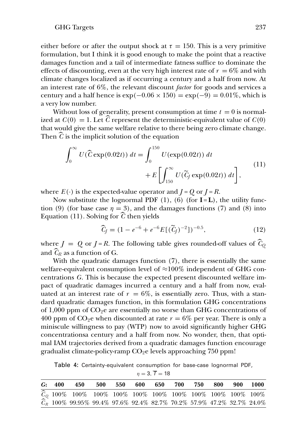either before or after the output shock at  $\tau = 150$ . This is a very primitive formulation, but I think it is good enough to make the point that a reactive damages function and a tail of intermediate fatness suffice to dominate the effects of discounting, even at the very high interest rate of  $r = 6\%$  and with climate changes localized as if occurring a century and a half from now. At an interest rate of 6%, the relevant discount *factor* for goods and services a century and a half hence is  $\exp(-0.06 \times 150) = \exp(-9) = 0.01\%$ , which is a very low number.

Without loss of generality, present consumption at time  $t = 0$  is normalized at  $C(0) = 1$ . Let *C* represent the deterministic-equivalent value of  $C(0)$ that would give the same welfare relative to there being zero climate change. Then  $\ddot{C}$  is the implicit solution of the equation

$$
\int_0^\infty U(\widehat{C} \exp(0.02t)) dt = \int_0^{150} U(\exp(0.02t)) dt + E\left[\int_{150}^\infty U(\widetilde{C}_f \exp(0.02t)) dt\right],
$$
\n(11)

where  $E(\cdot)$  is the expected-value operator and  $J = Q$  or  $J = R$ .

Now substitute the lognormal PDF  $(1)$ ,  $(6)$  (for  $I = L$ ), the utility function (9) (for base case  $\eta = 3$ ), and the damages functions (7) and (8) into Equation (11). Solving for *C* then yields

$$
\widehat{C}_f = (1 - e^{-6} + e^{-6} E[(\widetilde{C}_f)^{-2}])^{-0.5}, \tag{12}
$$

where  $J = Q$  or  $J = R$ . The following table gives rounded-off values of  $\hat{C}_Q$ and  $\ddot{C}_R$  as a function of G.

With the quadratic damages function (7), there is essentially the same welfare-equivalent consumption level of ≈100% independent of GHG concentrations *G*. This is because the expected present discounted welfare impact of quadratic damages incurred a century and a half from now, evaluated at an interest rate of  $r = 6\%$ , is essentially zero. Thus, with a standard quadratic damages function, in this formulation GHG concentrations of 1,000 ppm of  $CO<sub>2</sub>e$  are essentially no worse than GHG concentrations of 400 ppm of CO<sub>2</sub>e when discounted at rate  $r = 6\%$  per year. There is only a miniscule willingness to pay (WTP) now to avoid significantly higher GHG concentrationsa century and a half from now. No wonder, then, that optimal IAM trajectories derived from a quadratic damages function encourage gradualist climate-policy-ramp  $CO<sub>2</sub>e$  levels approaching 750 ppm!

Table 4: Certainty-equivalent consumption for base-case lognormal PDF,

| G: 400 | 450                                                                           | 500 | 550 600 | 650 700 |  | 750 800 900 1000 |  |
|--------|-------------------------------------------------------------------------------|-----|---------|---------|--|------------------|--|
|        |                                                                               |     |         |         |  |                  |  |
|        | $\hat{C}_R$ 100% 99.95% 99.4% 97.6% 92.4% 82.7% 70.2% 57.9% 47.2% 32.7% 24.0% |     |         |         |  |                  |  |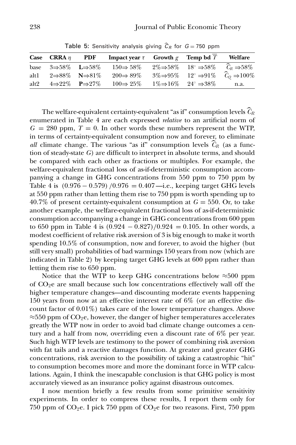|      | Case CRRA $n$                                  | <b>PDF</b> | <b>Impact year <math>\tau</math></b> Growth g Temp bd T |                                                          | Welfare                           |
|------|------------------------------------------------|------------|---------------------------------------------------------|----------------------------------------------------------|-----------------------------------|
|      | base $3\Rightarrow 58\%$ L $\Rightarrow 58\%$  |            | $150 \Rightarrow 58\%$                                  | $2\% \Rightarrow 58\%$ $18^{\circ} \Rightarrow 58\%$     | $\widehat{C}_R \Rightarrow 58\%$  |
|      | alt1 $2 \Rightarrow 88\%$ N $\Rightarrow 81\%$ |            | $200 \Rightarrow 89\%$                                  | $3\% \Rightarrow 95\%$ $12^{\circ} \Rightarrow 91\%$     | $\widehat{C}_O \Rightarrow 100\%$ |
| alt2 | $4\rightarrow 22\%$ P $\rightarrow 27\%$       |            | $100 \Rightarrow 25\%$                                  | $1\% \Rightarrow 16\% \quad 24^{\circ} \Rightarrow 38\%$ | n.a.                              |

Table 5: Sensitivity analysis giving  $\widehat{C}_R$  for  $G=750$  ppm

The welfare-equivalent certainty-equivalent "as if" consumption levels  $\widehat{C}_R$ enumerated in Table 4 are each expressed *relative* to an artificial norm of  $G = 280$  ppm,  $T = 0$ . In other words these numbers represent the WTP, in terms of certainty-equivalent consumption now and forever, to eliminate *all* climate change. The various "as if" consumption levels  $\widehat{C}_R$  (as a function of steady-state *G*) are difficult to interpret in absolute terms, and should be compared with each other as fractions or multiples. For example, the welfare-equivalent fractional loss of as-if-deterministic consumption accompanying a change in GHG concentrations from 550 ppm to 750 ppm by Table 4 is  $(0.976 - 0.579) / 0.976 = 0.407$ —i.e., keeping target GHG levels at 550 ppm rather than letting them rise to 750 ppm is worth spending up to 40.7% of present certainty-equivalent consumption at  $G = 550$ . Or, to take another example, the welfare-equivalent fractional loss of as-if-deterministic consumption accompanying a change in GHG concentrations from 600 ppm to 650 ppm in Table 4 is  $(0.924 - 0.827)/0.924 = 0.105$ . In other words, a modest coefficient of relative risk aversion of 3 is big enough to make it worth spending 10.5% of consumption, now and forever, to avoid the higher (but still very small) probabilities of bad warmings 150 years from now (which are indicated in Table 2) by keeping target GHG levels at 600 ppm rather than letting them rise to 650 ppm.

Notice that the WTP to keep GHG concentrations below  $\approx 500$  ppm of  $CO<sub>2</sub>e$  are small because such low concentrations effectively wall off the higher temperature changes—and discounting moderate events happening 150 years from now at an effective interest rate of 6% (or an effective discount factor of 0.01%) takes care of the lower temperature changes. Above  $\approx$ 550 ppm of CO<sub>2</sub>e, however, the danger of higher temperatures accelerates greatly the WTP now in order to avoid bad climate change outcomes a century and a half from now, overriding even a discount rate of 6% per year. Such high WTP levels are testimony to the power of combining risk aversion with fat tails and a reactive damages function. At greater and greater GHG concentrations, risk aversion to the possibility of taking a catastrophic "hit" to consumption becomes more and more the dominant force in WTP calculations. Again, I think the inescapable conclusion is that GHG policy is most accurately viewed as an insurance policy against disastrous outcomes.

I now mention briefly a few results from some primitive sensitivity experiments. In order to compress these results, I report them only for 750 ppm of  $CO<sub>2</sub>e$ . I pick 750 ppm of  $CO<sub>2</sub>e$  for two reasons. First, 750 ppm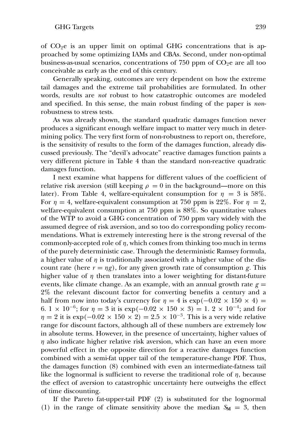of  $CO<sub>2</sub>e$  is an upper limit on optimal GHG concentrations that is approached by some optimizing IAMs and CBAs. Second, under non-optimal business-as-usual scenarios, concentrations of 750 ppm of  $CO<sub>2</sub>e$  are all too conceivable as early as the end of this century.

Generally speaking, outcomes are very dependent on how the extreme tail damages and the extreme tail probabilities are formulated. In other words, results are *not* robust to how catastrophic outcomes are modeled and specified. In this sense, the main robust finding of the paper is *non*robustness to stress tests.

As was already shown, the standard quadratic damages function never produces a significant enough welfare impact to matter very much in determining policy. The very first form of non-robustness to report on, therefore, is the sensitivity of results to the form of the damages function, already discussed previously. The "devil's advocate" reactive damages function paints a very different picture in Table 4 than the standard non-reactive quadratic damages function.

I next examine what happens for different values of the coefficient of relative risk aversion (still keeping  $\rho = 0$  in the background—more on this later). From Table 4, welfare-equivalent consumption for  $\eta = 3$  is 58%. For  $\eta = 4$ , welfare-equivalent consumption at 750 ppm is 22%. For  $\eta = 2$ , welfare-equivalent consumption at 750 ppm is 88%. So quantitative values of the WTP to avoid a GHG concentration of 750 ppm vary widely with the assumed degree of risk aversion, and so too do corresponding policy recommendations. What is extremely interesting here is the strong reversal of the commonly-accepted role of  $\eta$ , which comes from thinking too much in terms of the purely deterministic case. Through the deterministic Ramsey formula, a higher value of  $\eta$  is traditionally associated with a higher value of the discount rate (here  $r = \eta g$ ), for any given growth rate of consumption *g*. This higher value of  $\eta$  then translates into a lower weighting for distant-future events, like climate change. As an example, with an annual growth rate  $g =$ 2% the relevant discount factor for converting benefits a century and a half from now into today's currency for  $\eta = 4$  is  $\exp(-0.02 \times 150 \times 4) =$ 6. 1 × 10<sup>-6</sup>; for  $\eta = 3$  it is exp(-0.02 × 150 × 3) = 1. 2 × 10<sup>-4</sup>; and for  $\eta = 2$  it is exp(-0.02 × 150 × 2) = 2.5 × 10<sup>-3</sup>. This is a very wide relative range for discount factors, although all of these numbers are extremely low in absolute terms. However, in the presence of uncertainty, higher values of  $\eta$  also indicate higher relative risk aversion, which can have an even more powerful effect in the opposite direction for a reactive damages function combined with a semi-fat upper tail of the temperature-change PDF. Thus, the damages function (8) combined with even an intermediate-fatness tail like the lognormal is sufficient to reverse the traditional role of η, because the effect of aversion to catastrophic uncertainty here outweighs the effect of time discounting.

If the Pareto fat-upper-tail PDF (2) is substituted for the lognormal (1) in the range of climate sensitivity above the median  $S_M = 3$ , then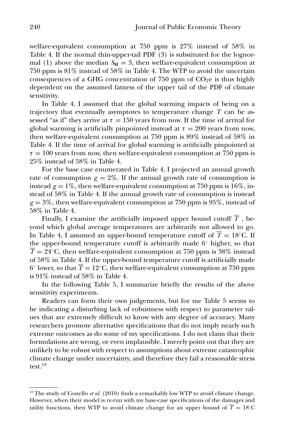welfare-equivalent consumption at 750 ppm is 27% instead of 58% in Table 4. If the normal thin-upper-tail PDF (3) is substituted for the lognormal (1) above the median  $S_M = 3$ , then welfare-equivalent consumption at 750 ppm is 81% instead of 58% in Table 4. The WTP to avoid the uncertain consequences of a GHG concentration of 750 ppm of  $CO<sub>2</sub>e$  is thus highly dependent on the assumed fatness of the upper tail of the PDF of climate sensitivity.

In Table 4, I assumed that the global warming impacts of being on a trajectory that eventually asymptotes to temperature change *T* can be assessed "as if" they arrive at  $\tau = 150$  years from now. If the time of arrival for global warming is artificially pinpointed instead at  $\tau = 200$  years from now, then welfare-equivalent consumption at 750 ppm is 89% instead of 58% in Table 4. If the time of arrival for global warming is artificially pinpointed at  $\tau = 100$  years from now, then welfare-equivalent consumption at 750 ppm is 25% instead of 58% in Table 4.

For the base case enumerated in Table 4, I projected an annual growth rate of consumption  $g = 2\%$ . If the annual growth rate of consumption is instead  $g = 1\%$ , then welfare-equivalent consumption at 750 ppm is 16\%, instead of 58% in Table 4. If the annual growth rate of consumption is instead  $g = 3\%$ , then welfare-equivalent consumption at 750 ppm is 95%, instead of 58% in Table 4.

Finally, I examine the artificially imposed upper bound cutoff  $\overline{T}$  , beyond which global average temperatures are arbitrarily not allowed to go. In Table 4, I assumed an upper-bound temperature cutoff of  $T = 18\degree$ C. If the upper-bound temperature cutoff is arbitrarily made  $6°$  higher, so that  $\overline{T}$  = 24°C, then welfare-equivalent consumption at 750 ppm is 38% instead of 58% in Table 4. If the upper-bound temperature cutoff is artificially made  $6°$  lower, so that  $T = 12°C$ , then welfare-equivalent consumption at 750 ppm is 91% instead of 58% in Table 4.

In the following Table 5, I summarize briefly the results of the above sensitivity experiments.

Readers can form their own judgements, but for me Table 5 seems to be indicating a disturbing lack of robustness with respect to parameter values that are extremely difficult to know with any degree of accuracy. Many researchers promote alternative specifications that do not imply nearly such extreme outcomes as do some of my specifications. I do not claim that their formulations are wrong, or even implausible. I merely point out that they are unlikely to be robust with respect to assumptions about extreme catastrophic climate change under uncertainty, and therefore they fail a reasonable stress test.<sup>18</sup>

<sup>&</sup>lt;sup>18</sup> The study of Costello *et al.* (2010) finds a remarkably low WTP to avoid climate change. However, when their model is re-run with my base-case specifications of the damages and utility functions, then WTP to avoid climate change for an upper bound of  $T = 18^\circ \text{C}$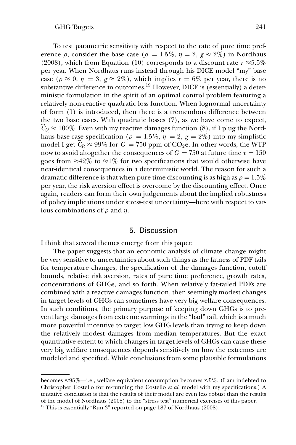To test parametric sensitivity with respect to the rate of pure time preference  $\rho$ , consider the base case ( $\rho = 1.5\%$ ,  $\eta = 2$ ,  $g \approx 2\%$ ) in Nordhaus (2008), which from Equation (10) corresponds to a discount rate  $r \approx 5.5\%$ per year. When Nordhaus runs instead through his DICE model "my" base case ( $\rho \approx 0$ ,  $\eta = 3$ ,  $g \approx 2\%$ ), which implies  $r = 6\%$  per year, there is no substantive difference in outcomes.<sup>19</sup> However, DICE is (essentially) a deterministic formulation in the spirit of an optimal control problem featuring a relatively non-reactive quadratic loss function. When lognormal uncertainty of form (1) is introduced, then there is a tremendous difference between the two base cases. With quadratic losses (7), as we have come to expect,  $\widehat{C}_Q \approx 100\%$ . Even with my reactive damages function (8), if I plug the Nordhaus base-case specification ( $\rho = 1.5\%$ ,  $\eta = 2$ ,  $g = 2\%$ ) into my simplistic model I get  $C_R \approx 99\%$  for  $G = 750$  ppm of CO<sub>2</sub>e. In other words, the WTP now to avoid altogether the consequences of  $G = 750$  at future time  $\tau = 150$ goes from  $\approx 42\%$  to  $\approx 1\%$  for two specifications that would otherwise have near-identical consequences in a deterministic world. The reason for such a dramatic difference is that when pure time discounting is as high as  $\rho = 1.5\%$ per year, the risk aversion effect is overcome by the discounting effect. Once again, readers can form their own judgements about the implied robustness of policy implications under stress-test uncertainty—here with respect to various combinations of  $ρ$  and  $η$ .

#### 5. Discussion

I think that several themes emerge from this paper.

The paper suggests that an economic analysis of climate change might be very sensitive to uncertainties about such things as the fatness of PDF tails for temperature changes, the specification of the damages function, cutoff bounds, relative risk aversion, rates of pure time preference, growth rates, concentrations of GHGs, and so forth. When relatively fat-tailed PDFs are combined with a reactive damages function, then seemingly modest changes in target levels of GHGs can sometimes have very big welfare consequences. In such conditions, the primary purpose of keeping down GHGs is to prevent large damages from extreme warmings in the "bad" tail, which is a much more powerful incentive to target low GHG levels than trying to keep down the relatively modest damages from median temperatures. But the exact quantitative extent to which changes in target levels of GHGs can cause these very big welfare consequences depends sensitively on how the extremes are modeled and specified. While conclusions from some plausible formulations

becomes ≈95%—i.e., welfare equivalent consumption becomes ≈5%. (I am indebted to Christopher Costello for re-running the Costello *et al.* model with my specifications.) A tentative conclusion is that the results of their model are even less robust than the results of the model of Nordhaus (2008) to the "stress test" numerical exercises of this paper.

<sup>&</sup>lt;sup>19</sup> This is essentially "Run 3" reported on page 187 of Nordhaus (2008).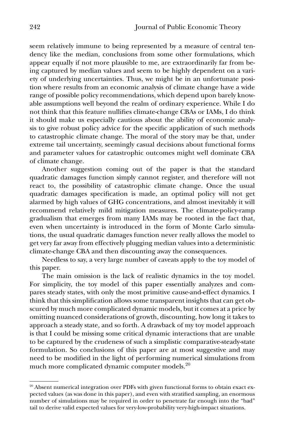seem relatively immune to being represented by a measure of central tendency like the median, conclusions from some other formulations, which appear equally if not more plausible to me, are extraordinarily far from being captured by median values and seem to be highly dependent on a variety of underlying uncertainties. Thus, we might be in an unfortunate position where results from an economic analysis of climate change have a wide range of possible policy recommendations, which depend upon barely knowable assumptions well beyond the realm of ordinary experience. While I do not think that this feature nullifies climate-change CBAs or IAMs, I do think it should make us especially cautious about the ability of economic analysis to give robust policy advice for the specific application of such methods to catastrophic climate change. The moral of the story may be that, under extreme tail uncertainty, seemingly casual decisions about functional forms and parameter values for catastrophic outcomes might well dominate CBA of climate change.

Another suggestion coming out of the paper is that the standard quadratic damages function simply cannot register, and therefore will not react to, the possibility of catastrophic climate change. Once the usual quadratic damages specification is made, an optimal policy will not get alarmed by high values of GHG concentrations, and almost inevitably it will recommend relatively mild mitigation measures. The climate-policy-ramp gradualism that emerges from many IAMs may be rooted in the fact that, even when uncertainty is introduced in the form of Monte Carlo simulations, the usual quadratic damages function never really allows the model to get very far away from effectively plugging median values into a deterministic climate-change CBA and then discounting away the consequences.

Needless to say, a very large number of caveats apply to the toy model of this paper.

The main omission is the lack of realistic dynamics in the toy model. For simplicity, the toy model of this paper essentially analyzes and compares steady states, with only the most primitive cause-and-effect dynamics. I think that this simplification allows some transparent insights that can get obscured by much more complicated dynamic models, but it comes at a price by omitting nuanced considerations of growth, discounting, how long it takes to approach a steady state, and so forth. A drawback of my toy model approach is that I could be missing some critical dynamic interactions that are unable to be captured by the crudeness of such a simplistic comparative-steady-state formulation. So conclusions of this paper are at most suggestive and may need to be modified in the light of performing numerical simulations from much more complicated dynamic computer models. $^{20}$ 

 $20$  Absent numerical integration over PDFs with given functional forms to obtain exact expected values (as was done in this paper), and even with stratified sampling, an enormous number of simulations may be required in order to penetrate far enough into the "bad" tail to derive valid expected values for very-low-probability very-high-impact situations.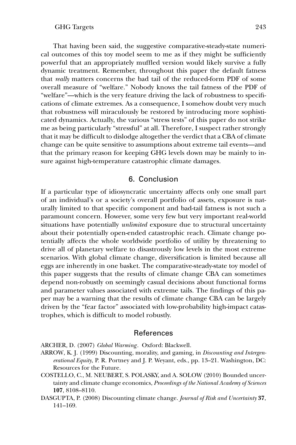#### GHG Targets 243

That having been said, the suggestive comparative-steady-state numerical outcomes of this toy model seem to me as if they might be sufficiently powerful that an appropriately muffled version would likely survive a fully dynamic treatment. Remember, throughout this paper the default fatness that *really* matters concerns the bad tail of the reduced-form PDF of some overall measure of "welfare." Nobody knows the tail fatness of the PDF of "welfare"—which is the very feature driving the lack of robustness to specifications of climate extremes. As a consequence, I somehow doubt very much that robustness will miraculously be restored by introducing more sophisticated dynamics. Actually, the various "stress tests" of this paper do not strike me as being particularly "stressful" at all. Therefore, I suspect rather strongly that it may be difficult to dislodge altogether the verdict that a CBA of climate change can be quite sensitive to assumptions about extreme tail events—and that the primary reason for keeping GHG levels down may be mainly to insure against high-temperature catastrophic climate damages.

### 6. Conclusion

If a particular type of idiosyncratic uncertainty affects only one small part of an individual's or a society's overall portfolio of assets, exposure is naturally limited to that specific component and bad-tail fatness is not such a paramount concern. However, some very few but very important real-world situations have potentially *unlimited* exposure due to structural uncertainty about their potentially open-ended catastrophic reach. Climate change potentially affects the whole worldwide portfolio of utility by threatening to drive all of planetary welfare to disastrously low levels in the most extreme scenarios. With global climate change, diversification is limited because all eggs are inherently in one basket. The comparative-steady-state toy model of this paper suggests that the results of climate change CBA can sometimes depend non-robustly on seemingly casual decisions about functional forms and parameter values associated with extreme tails. The findings of this paper may be a warning that the results of climate change CBA can be largely driven by the "fear factor" associated with low-probability high-impact catastrophes, which is difficult to model robustly.

### References

ARCHER, D. (2007) *Global Warming* . Oxford: Blackwell.

- ARROW, K. J. (1999) Discounting, morality, and gaming, in *Discounting and Intergenerational Equity*, P. R. Portney and J. P. Weyant, eds., pp. 13–21. Washington, DC: Resources for the Future.
- COSTELLO, C., M. NEUBERT, S. POLASKY, and A. SOLOW (2010) Bounded uncertainty and climate change economics, *Proceedings of the National Academy of Sciences* **107**, 8108–8110.
- DASGUPTA, P. (2008) Discounting climate change. *Journal of Risk and Uncertainty* **37**, 141–169.